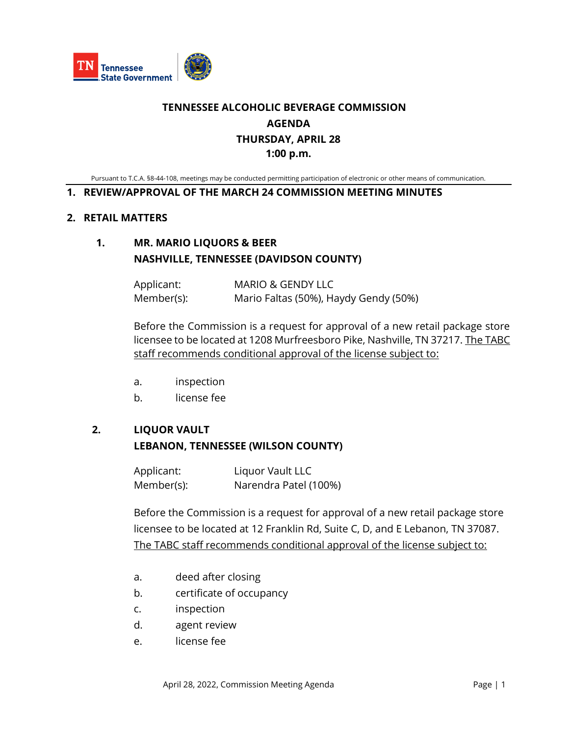

# **TENNESSEE ALCOHOLIC BEVERAGE COMMISSION AGENDA THURSDAY, APRIL 28 1:00 p.m.**

Pursuant to T.C.A. §8-44-108, meetings may be conducted permitting participation of electronic or other means of communication.

#### **1. REVIEW/APPROVAL OF THE MARCH 24 COMMISSION MEETING MINUTES**

#### **2. RETAIL MATTERS**

### **1. MR. MARIO LIQUORS & BEER NASHVILLE, TENNESSEE (DAVIDSON COUNTY)**

Applicant: MARIO & GENDY LLC Member(s): Mario Faltas (50%), Haydy Gendy (50%)

Before the Commission is a request for approval of a new retail package store licensee to be located at 1208 Murfreesboro Pike, Nashville, TN 37217. The TABC staff recommends conditional approval of the license subject to:

- a. inspection
- b. license fee

#### **2. LIQUOR VAULT**

#### **LEBANON, TENNESSEE (WILSON COUNTY)**

Applicant: Liquor Vault LLC Member(s): Narendra Patel (100%)

Before the Commission is a request for approval of a new retail package store licensee to be located at 12 Franklin Rd, Suite C, D, and E Lebanon, TN 37087. The TABC staff recommends conditional approval of the license subject to:

- a. deed after closing
- b. certificate of occupancy
- c. inspection
- d. agent review
- e. license fee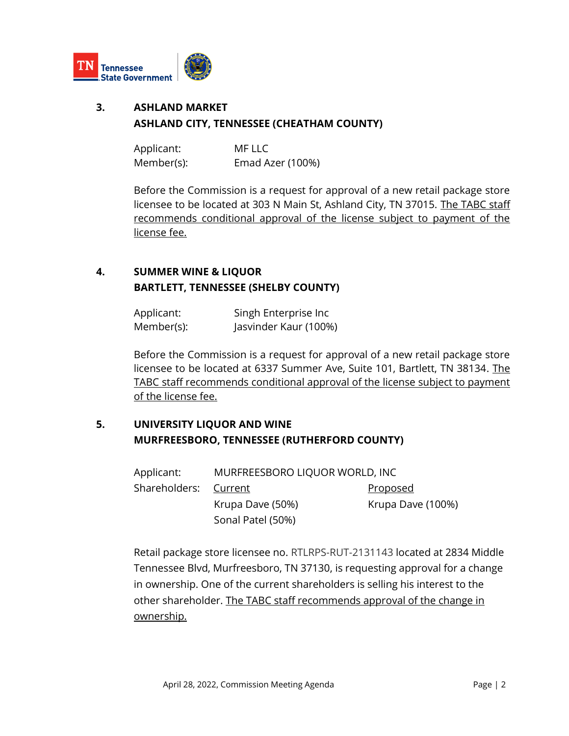

# **3. ASHLAND MARKET ASHLAND CITY, TENNESSEE (CHEATHAM COUNTY)**

Applicant: MF LLC Member(s): Emad Azer (100%)

Before the Commission is a request for approval of a new retail package store licensee to be located at 303 N Main St, Ashland City, TN 37015. The TABC staff recommends conditional approval of the license subject to payment of the license fee.

# **4. SUMMER WINE & LIQUOR BARTLETT, TENNESSEE (SHELBY COUNTY)**

Applicant: Singh Enterprise Inc Member(s): Jasvinder Kaur (100%)

Before the Commission is a request for approval of a new retail package store licensee to be located at 6337 Summer Ave, Suite 101, Bartlett, TN 38134. The TABC staff recommends conditional approval of the license subject to payment of the license fee.

# **5. UNIVERSITY LIQUOR AND WINE MURFREESBORO, TENNESSEE (RUTHERFORD COUNTY)**

| Applicant:            | MURFREESBORO LIQUOR WORLD, INC |                   |
|-----------------------|--------------------------------|-------------------|
| Shareholders: Current |                                | <u>Proposed</u>   |
|                       | Krupa Dave (50%)               | Krupa Dave (100%) |
|                       | Sonal Patel (50%)              |                   |

Retail package store licensee no. RTLRPS-RUT-2131143 located at 2834 Middle Tennessee Blvd, Murfreesboro, TN 37130, is requesting approval for a change in ownership. One of the current shareholders is selling his interest to the other shareholder. The TABC staff recommends approval of the change in ownership.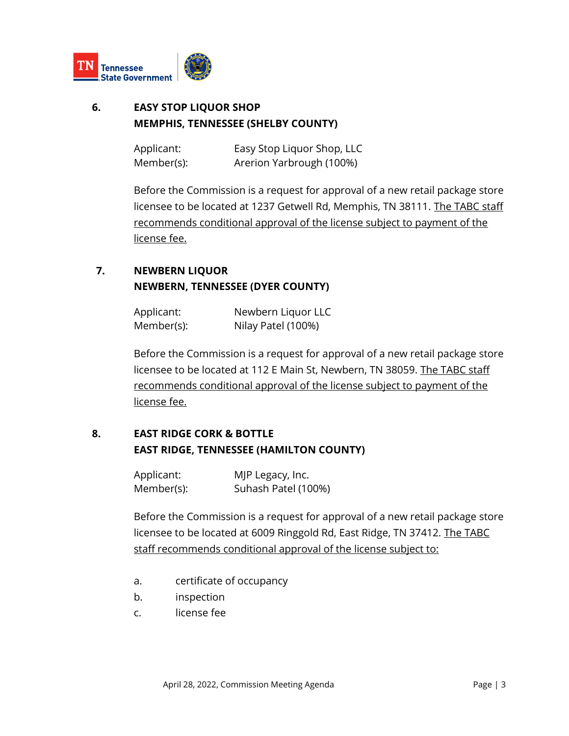

# **6. EASY STOP LIQUOR SHOP MEMPHIS, TENNESSEE (SHELBY COUNTY)**

Applicant: Easy Stop Liquor Shop, LLC Member(s): Arerion Yarbrough (100%)

Before the Commission is a request for approval of a new retail package store licensee to be located at 1237 Getwell Rd, Memphis, TN 38111. The TABC staff recommends conditional approval of the license subject to payment of the license fee.

# **7. NEWBERN LIQUOR NEWBERN, TENNESSEE (DYER COUNTY)**

Applicant: Newbern Liquor LLC Member(s): Nilay Patel (100%)

Before the Commission is a request for approval of a new retail package store licensee to be located at 112 E Main St, Newbern, TN 38059. The TABC staff recommends conditional approval of the license subject to payment of the license fee.

# **8. EAST RIDGE CORK & BOTTLE EAST RIDGE, TENNESSEE (HAMILTON COUNTY)**

| Applicant: | MJP Legacy, Inc.    |
|------------|---------------------|
| Member(s): | Suhash Patel (100%) |

Before the Commission is a request for approval of a new retail package store licensee to be located at 6009 Ringgold Rd, East Ridge, TN 37412. The TABC staff recommends conditional approval of the license subject to:

- a. certificate of occupancy
- b. inspection
- c. license fee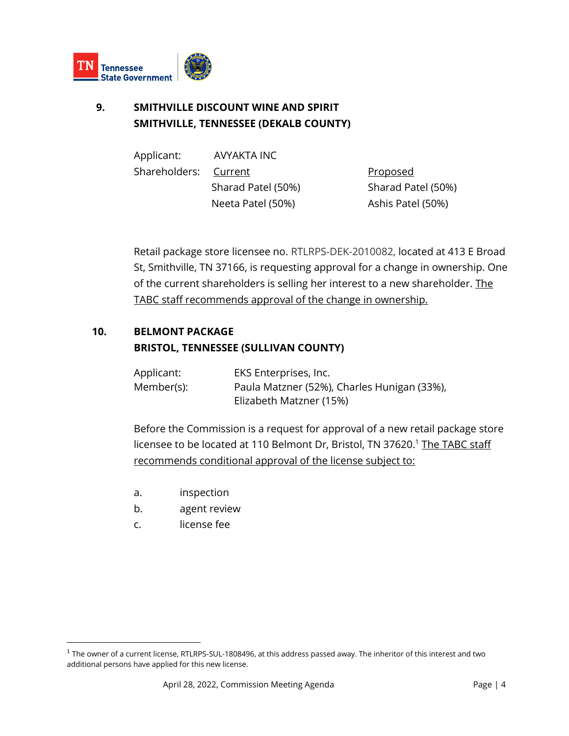

# **9. SMITHVILLE DISCOUNT WINE AND SPIRIT SMITHVILLE, TENNESSEE (DEKALB COUNTY)**

| Applicant:            | AVYAKTA INC        |                    |
|-----------------------|--------------------|--------------------|
| Shareholders: Current |                    | <u>Proposed</u>    |
|                       | Sharad Patel (50%) | Sharad Patel (50%) |
|                       | Neeta Patel (50%)  | Ashis Patel (50%)  |

Retail package store licensee no. RTLRPS-DEK-2010082, located at 413 E Broad St, Smithville, TN 37166, is requesting approval for a change in ownership. One of the current shareholders is selling her interest to a new shareholder. The TABC staff recommends approval of the change in ownership.

### **10. BELMONT PACKAGE BRISTOL, TENNESSEE (SULLIVAN COUNTY)**

Applicant: EKS Enterprises, Inc. Member(s): Paula Matzner (52%), Charles Hunigan (33%), Elizabeth Matzner (15%)

Before the Commission is a request for approval of a new retail package store licensee to be located at 110 Belmont Dr, Bristol, TN 37620.<sup>1</sup> The TABC staff recommends conditional approval of the license subject to:

- a. inspection
- b. agent review
- c. license fee

 $^{\rm 1}$  The owner of a current license, RTLRPS-SUL-1808496, at this address passed away. The inheritor of this interest and two additional persons have applied for this new license.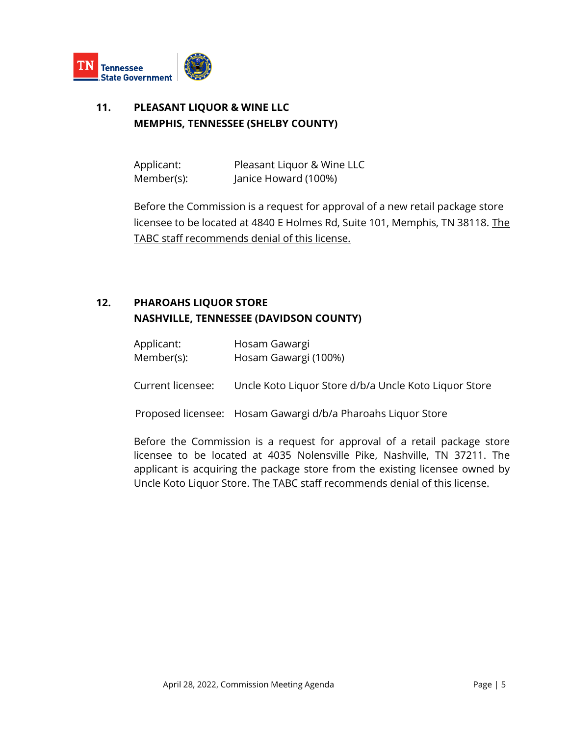

# **11. PLEASANT LIQUOR & WINE LLC MEMPHIS, TENNESSEE (SHELBY COUNTY)**

Applicant: Pleasant Liquor & Wine LLC Member(s): Janice Howard (100%)

Before the Commission is a request for approval of a new retail package store licensee to be located at 4840 E Holmes Rd, Suite 101, Memphis, TN 38118. The TABC staff recommends denial of this license.

# **12. PHAROAHS LIQUOR STORE NASHVILLE, TENNESSEE (DAVIDSON COUNTY)**

| Applicant: | Hosam Gawargi        |
|------------|----------------------|
| Member(s): | Hosam Gawargi (100%) |

Current licensee: Uncle Koto Liquor Store d/b/a Uncle Koto Liquor Store

Proposed licensee: Hosam Gawargi d/b/a Pharoahs Liquor Store

Before the Commission is a request for approval of a retail package store licensee to be located at 4035 Nolensville Pike, Nashville, TN 37211. The applicant is acquiring the package store from the existing licensee owned by Uncle Koto Liquor Store. The TABC staff recommends denial of this license.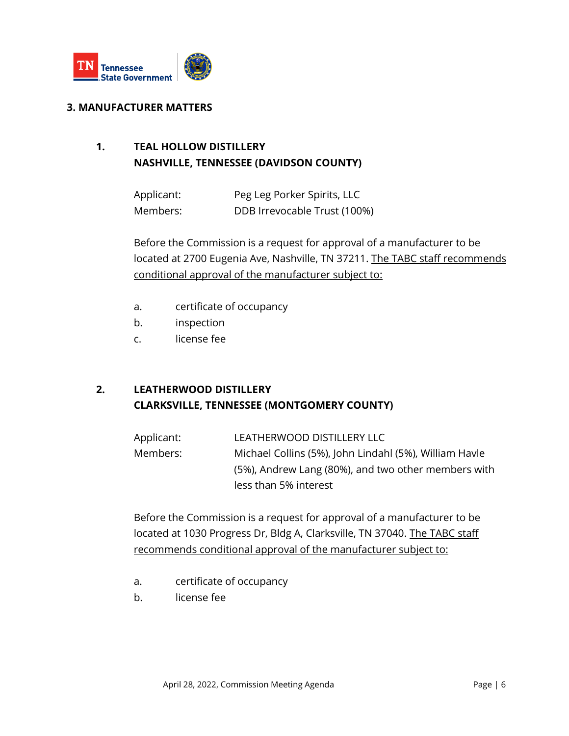

#### **3. MANUFACTURER MATTERS**

# **1. TEAL HOLLOW DISTILLERY NASHVILLE, TENNESSEE (DAVIDSON COUNTY)**

Applicant: Peg Leg Porker Spirits, LLC Members: DDB Irrevocable Trust (100%)

Before the Commission is a request for approval of a manufacturer to be located at 2700 Eugenia Ave, Nashville, TN 37211. The TABC staff recommends conditional approval of the manufacturer subject to:

- a. certificate of occupancy
- b. inspection
- c. license fee

### **2. LEATHERWOOD DISTILLERY CLARKSVILLE, TENNESSEE (MONTGOMERY COUNTY)**

Applicant: LEATHERWOOD DISTILLERY LLC Members: Michael Collins (5%), John Lindahl (5%), William Havle (5%), Andrew Lang (80%), and two other members with less than 5% interest

Before the Commission is a request for approval of a manufacturer to be located at 1030 Progress Dr, Bldg A, Clarksville, TN 37040. The TABC staff recommends conditional approval of the manufacturer subject to:

- a. certificate of occupancy
- b. license fee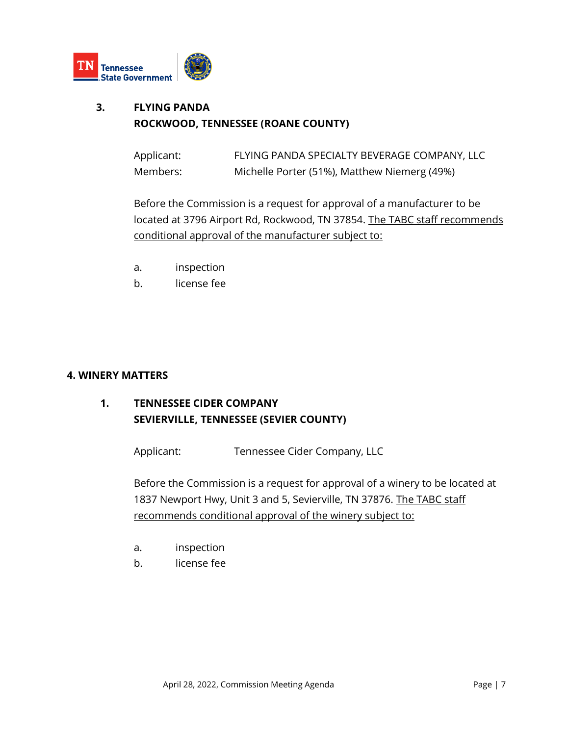

# **3. FLYING PANDA ROCKWOOD, TENNESSEE (ROANE COUNTY)**

| Applicant: | FLYING PANDA SPECIALTY BEVERAGE COMPANY, LLC |
|------------|----------------------------------------------|
| Members:   | Michelle Porter (51%), Matthew Niemerg (49%) |

Before the Commission is a request for approval of a manufacturer to be located at 3796 Airport Rd, Rockwood, TN 37854. The TABC staff recommends conditional approval of the manufacturer subject to:

- a. inspection
- b. license fee

#### **4. WINERY MATTERS**

# **1. TENNESSEE CIDER COMPANY SEVIERVILLE, TENNESSEE (SEVIER COUNTY)**

Applicant: Tennessee Cider Company, LLC

Before the Commission is a request for approval of a winery to be located at 1837 Newport Hwy, Unit 3 and 5, Sevierville, TN 37876. The TABC staff recommends conditional approval of the winery subject to:

- a. inspection
- b. license fee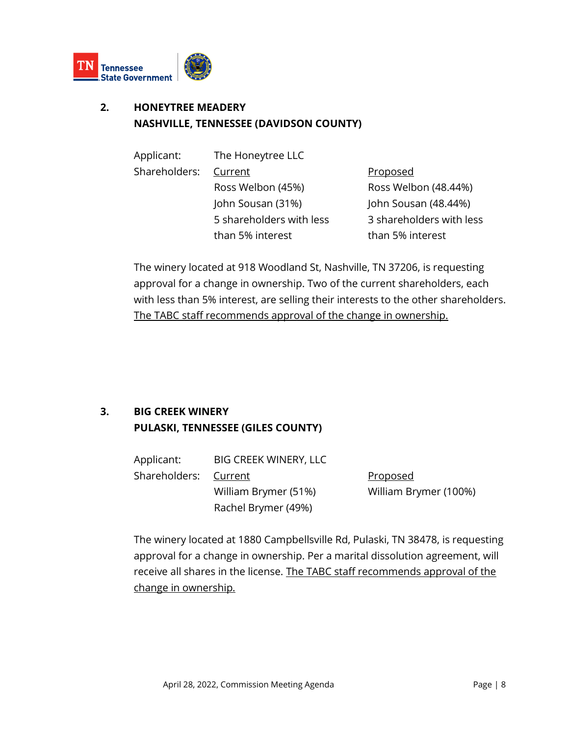

# **2. HONEYTREE MEADERY NASHVILLE, TENNESSEE (DAVIDSON COUNTY)**

| Applicant:    | The Honeytree LLC        |                          |
|---------------|--------------------------|--------------------------|
| Shareholders: | Current                  | Proposed                 |
|               | Ross Welbon (45%)        | Ross Welbon (48.44%)     |
|               | John Sousan (31%)        | John Sousan (48.44%)     |
|               | 5 shareholders with less | 3 shareholders with less |
|               | than 5% interest         | than 5% interest         |

The winery located at 918 Woodland St, Nashville, TN 37206, is requesting approval for a change in ownership. Two of the current shareholders, each with less than 5% interest, are selling their interests to the other shareholders. The TABC staff recommends approval of the change in ownership.

# **3. BIG CREEK WINERY PULASKI, TENNESSEE (GILES COUNTY)**

| Applicant:            | <b>BIG CREEK WINERY, LLC</b> |                       |
|-----------------------|------------------------------|-----------------------|
| Shareholders: Current |                              | <u>Proposed</u>       |
|                       | William Brymer (51%)         | William Brymer (100%) |
|                       | Rachel Brymer (49%)          |                       |

The winery located at 1880 Campbellsville Rd, Pulaski, TN 38478, is requesting approval for a change in ownership. Per a marital dissolution agreement, will receive all shares in the license. The TABC staff recommends approval of the change in ownership.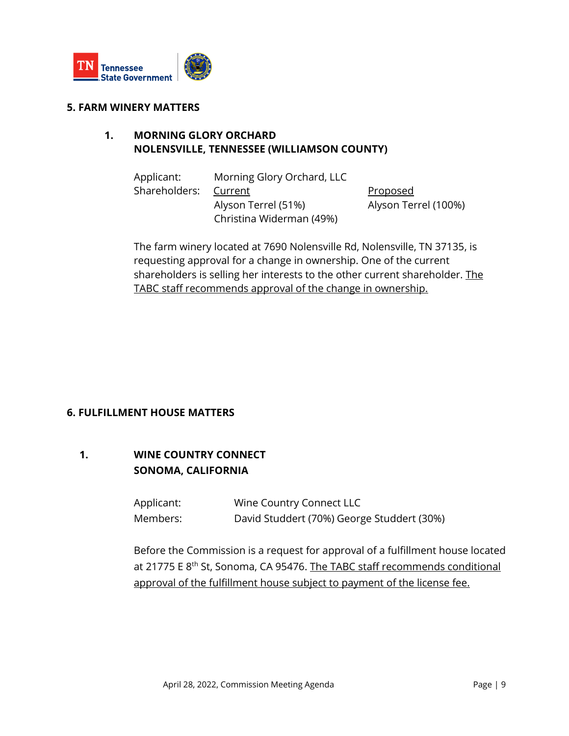

#### **5. FARM WINERY MATTERS**

#### **1. MORNING GLORY ORCHARD NOLENSVILLE, TENNESSEE (WILLIAMSON COUNTY)**

| Applicant:    | Morning Glory Orchard, LLC |                      |
|---------------|----------------------------|----------------------|
| Shareholders: | Current                    | <b>Proposed</b>      |
|               | Alyson Terrel (51%)        | Alyson Terrel (100%) |
|               | Christina Widerman (49%)   |                      |

The farm winery located at 7690 Nolensville Rd, Nolensville, TN 37135, is requesting approval for a change in ownership. One of the current shareholders is selling her interests to the other current shareholder. The TABC staff recommends approval of the change in ownership.

#### **6. FULFILLMENT HOUSE MATTERS**

#### **1. WINE COUNTRY CONNECT SONOMA, CALIFORNIA**

Applicant: Wine Country Connect LLC Members: David Studdert (70%) George Studdert (30%)

Before the Commission is a request for approval of a fulfillment house located at 21775 E 8<sup>th</sup> St, Sonoma, CA 95476. The TABC staff recommends conditional approval of the fulfillment house subject to payment of the license fee.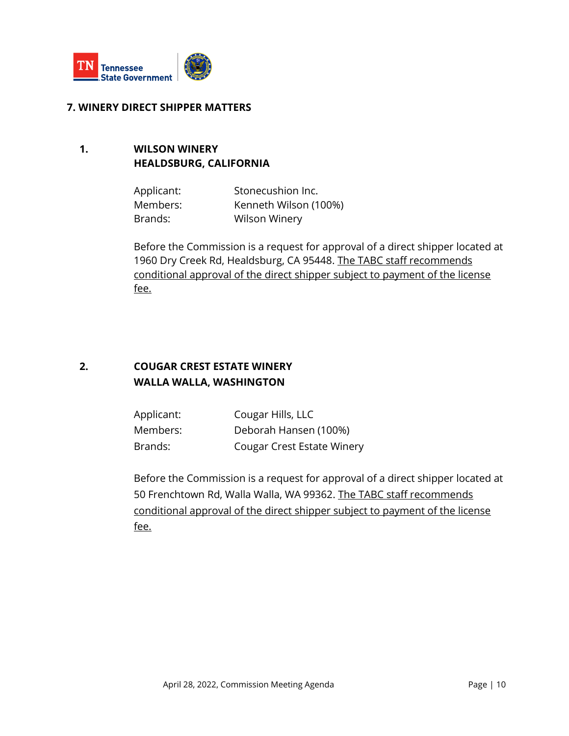

#### **7. WINERY DIRECT SHIPPER MATTERS**

#### **1. WILSON WINERY HEALDSBURG, CALIFORNIA**

| Applicant: | Stonecushion Inc.     |
|------------|-----------------------|
| Members:   | Kenneth Wilson (100%) |
| Brands:    | <b>Wilson Winery</b>  |

Before the Commission is a request for approval of a direct shipper located at 1960 Dry Creek Rd, Healdsburg, CA 95448. The TABC staff recommends conditional approval of the direct shipper subject to payment of the license fee.

## **2. COUGAR CREST ESTATE WINERY WALLA WALLA, WASHINGTON**

| Applicant: | Cougar Hills, LLC                 |
|------------|-----------------------------------|
| Members:   | Deborah Hansen (100%)             |
| Brands:    | <b>Cougar Crest Estate Winery</b> |

Before the Commission is a request for approval of a direct shipper located at 50 Frenchtown Rd, Walla Walla, WA 99362. The TABC staff recommends conditional approval of the direct shipper subject to payment of the license fee.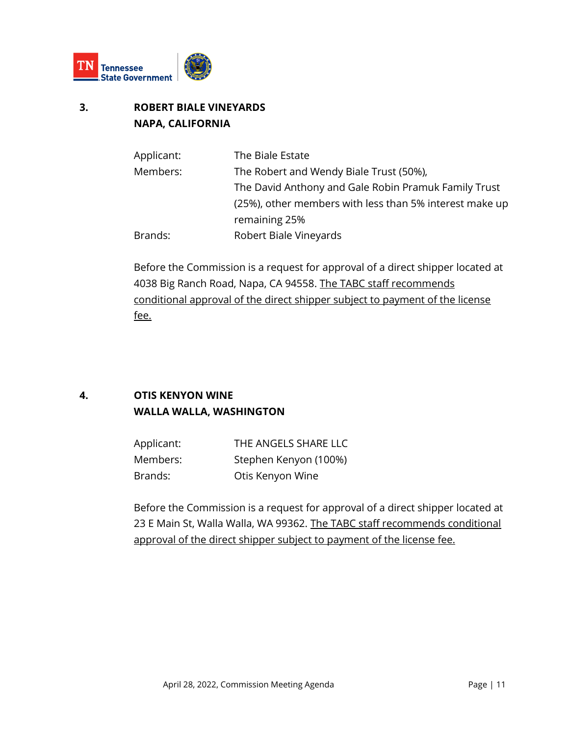

# **3. ROBERT BIALE VINEYARDS NAPA, CALIFORNIA**

| The Biale Estate                                        |
|---------------------------------------------------------|
| The Robert and Wendy Biale Trust (50%),                 |
| The David Anthony and Gale Robin Pramuk Family Trust    |
| (25%), other members with less than 5% interest make up |
| remaining 25%                                           |
| Robert Biale Vineyards                                  |
|                                                         |

Before the Commission is a request for approval of a direct shipper located at 4038 Big Ranch Road, Napa, CA 94558. The TABC staff recommends conditional approval of the direct shipper subject to payment of the license fee.

# **4. OTIS KENYON WINE WALLA WALLA, WASHINGTON**

| Applicant: | THE ANGELS SHARE LLC  |
|------------|-----------------------|
| Members:   | Stephen Kenyon (100%) |
| Brands:    | Otis Kenyon Wine      |

Before the Commission is a request for approval of a direct shipper located at 23 E Main St, Walla Walla, WA 99362. The TABC staff recommends conditional approval of the direct shipper subject to payment of the license fee.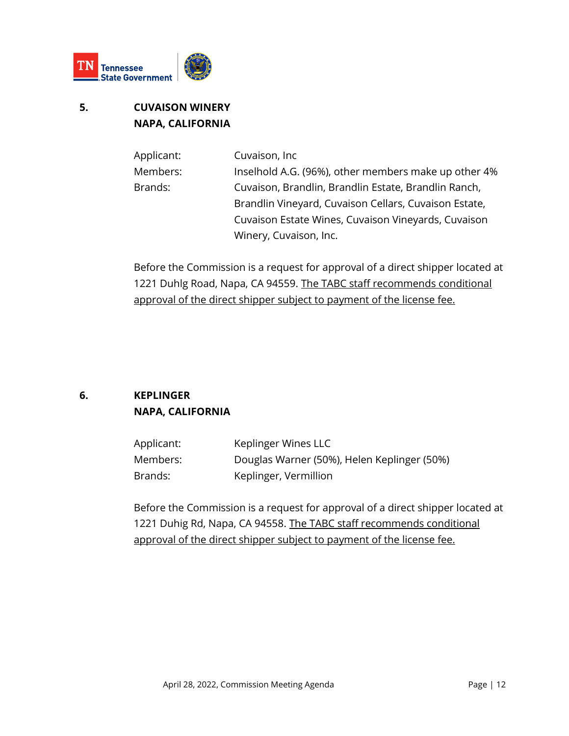

# **5. CUVAISON WINERY NAPA, CALIFORNIA**

| Applicant: | Cuvaison, Inc.                                        |
|------------|-------------------------------------------------------|
| Members:   | Inselhold A.G. (96%), other members make up other 4%  |
| Brands:    | Cuvaison, Brandlin, Brandlin Estate, Brandlin Ranch,  |
|            | Brandlin Vineyard, Cuvaison Cellars, Cuvaison Estate, |
|            | Cuvaison Estate Wines, Cuvaison Vineyards, Cuvaison   |
|            | Winery, Cuvaison, Inc.                                |

Before the Commission is a request for approval of a direct shipper located at 1221 Duhlg Road, Napa, CA 94559. The TABC staff recommends conditional approval of the direct shipper subject to payment of the license fee.

# **6. KEPLINGER NAPA, CALIFORNIA**

| Applicant: | Keplinger Wines LLC                         |
|------------|---------------------------------------------|
| Members:   | Douglas Warner (50%), Helen Keplinger (50%) |
| Brands:    | Keplinger, Vermillion                       |

Before the Commission is a request for approval of a direct shipper located at 1221 Duhig Rd, Napa, CA 94558. The TABC staff recommends conditional approval of the direct shipper subject to payment of the license fee.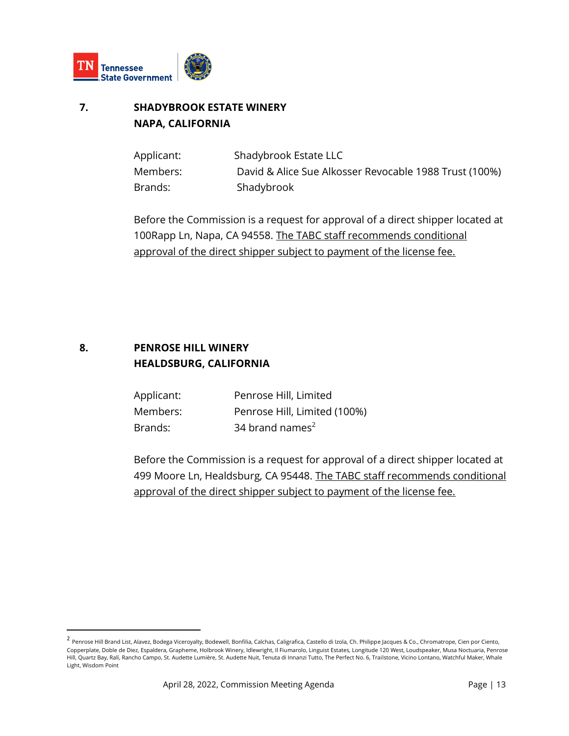

# **7. SHADYBROOK ESTATE WINERY NAPA, CALIFORNIA**

| Applicant: | Shadybrook Estate LLC                                  |
|------------|--------------------------------------------------------|
| Members:   | David & Alice Sue Alkosser Revocable 1988 Trust (100%) |
| Brands:    | Shadybrook                                             |

Before the Commission is a request for approval of a direct shipper located at 100Rapp Ln, Napa, CA 94558. The TABC staff recommends conditional approval of the direct shipper subject to payment of the license fee.

#### **8. PENROSE HILL WINERY HEALDSBURG, CALIFORNIA**

| Applicant: | Penrose Hill, Limited        |
|------------|------------------------------|
| Members:   | Penrose Hill, Limited (100%) |
| Brands:    | 34 brand names <sup>2</sup>  |

Before the Commission is a request for approval of a direct shipper located at 499 Moore Ln, Healdsburg, CA 95448. The TABC staff recommends conditional approval of the direct shipper subject to payment of the license fee.

<sup>&</sup>lt;sup>2</sup> Penrose Hill Brand List, Alavez, Bodega Viceroyalty, Bodewell, Bonfilia, Calchas, Caligrafica, Castello di Izola, Ch. Philippe Jacques & Co., Chromatrope, Cien por Ciento, Copperplate, Doble de Diez, Espaldera, Grapheme, Holbrook Winery, Idlewright, Il Fiumarolo, Linguist Estates, Longitude 120 West, Loudspeaker, Musa Noctuaria, Penrose Hill, Quartz Bay, Ralí, Rancho Campo, St. Audette Lumière, St. Audette Nuit, Tenuta di Innanzi Tutto, The Perfect No. 6, Trailstone, Vicino Lontano, Watchful Maker, Whale Light, Wisdom Point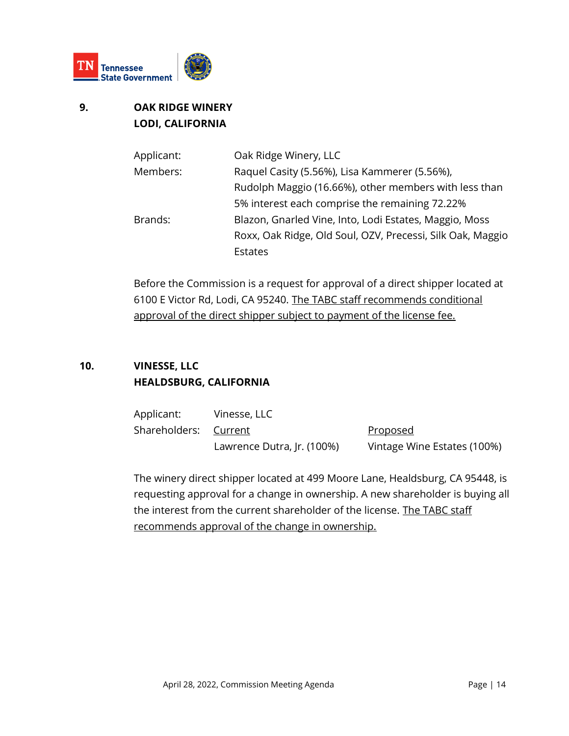

# **9. OAK RIDGE WINERY LODI, CALIFORNIA**

| Applicant: | Oak Ridge Winery, LLC                                      |
|------------|------------------------------------------------------------|
| Members:   | Raquel Casity (5.56%), Lisa Kammerer (5.56%),              |
|            | Rudolph Maggio (16.66%), other members with less than      |
|            | 5% interest each comprise the remaining 72.22%             |
| Brands:    | Blazon, Gnarled Vine, Into, Lodi Estates, Maggio, Moss     |
|            | Roxx, Oak Ridge, Old Soul, OZV, Precessi, Silk Oak, Maggio |
|            | Estates                                                    |

Before the Commission is a request for approval of a direct shipper located at 6100 E Victor Rd, Lodi, CA 95240. The TABC staff recommends conditional approval of the direct shipper subject to payment of the license fee.

# **10. VINESSE, LLC HEALDSBURG, CALIFORNIA**

| Applicant:            | Vinesse, LLC               |                             |
|-----------------------|----------------------------|-----------------------------|
| Shareholders: Current |                            | <u>Proposed</u>             |
|                       | Lawrence Dutra, Jr. (100%) | Vintage Wine Estates (100%) |

The winery direct shipper located at 499 Moore Lane, Healdsburg, CA 95448, is requesting approval for a change in ownership. A new shareholder is buying all the interest from the current shareholder of the license. The TABC staff recommends approval of the change in ownership.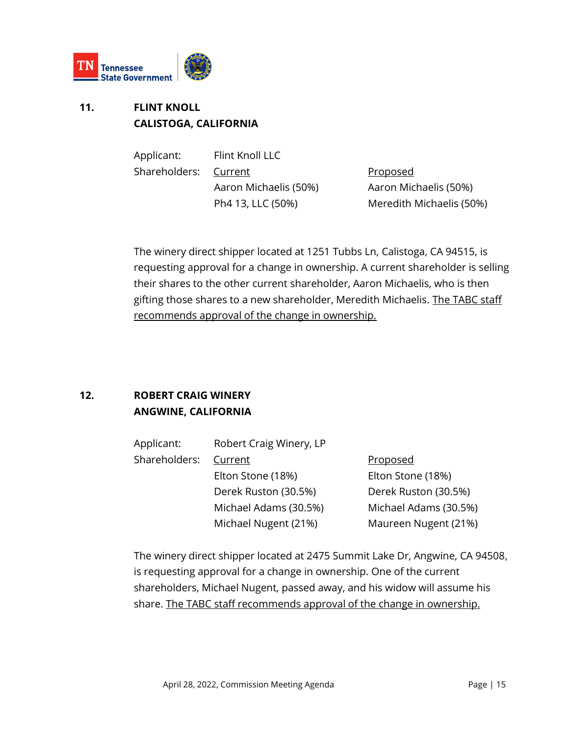

# **11. FLINT KNOLL CALISTOGA, CALIFORNIA**

Applicant: Flint Knoll LLC Shareholders: Current Proposed Aaron Michaelis (50%) Aaron Michaelis (50%)

Ph4 13, LLC (50%) Meredith Michaelis (50%)

The winery direct shipper located at 1251 Tubbs Ln, Calistoga, CA 94515, is requesting approval for a change in ownership. A current shareholder is selling their shares to the other current shareholder, Aaron Michaelis, who is then gifting those shares to a new shareholder, Meredith Michaelis. The TABC staff recommends approval of the change in ownership.

# **12. ROBERT CRAIG WINERY ANGWINE, CALIFORNIA**

| Applicant:    | Robert Craig Winery, LP |                       |
|---------------|-------------------------|-----------------------|
| Shareholders: | Current                 | <b>Proposed</b>       |
|               | Elton Stone (18%)       | Elton Stone (18%)     |
|               | Derek Ruston (30.5%)    | Derek Ruston (30.5%)  |
|               | Michael Adams (30.5%)   | Michael Adams (30.5%) |
|               | Michael Nugent (21%)    | Maureen Nugent (21%)  |

The winery direct shipper located at 2475 Summit Lake Dr, Angwine, CA 94508, is requesting approval for a change in ownership. One of the current shareholders, Michael Nugent, passed away, and his widow will assume his share. The TABC staff recommends approval of the change in ownership.